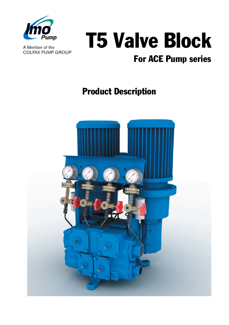

A Member of the **COLFAX PUMP GROUP** 

# T5 Valve Block

## For ACE Pump series

### Product Description

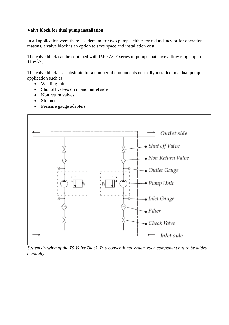#### **Valve block for dual pump installation**

In all application were there is a demand for two pumps, either for redundancy or for operational reasons, a valve block is an option to save space and installation cost.

The valve block can be equipped with IMO ACE series of pumps that have a flow range up to  $11 \text{ m}^3/\text{h}$ .

The valve block is a substitute for a number of components normally installed in a dual pump application such as:

- Welding joints
- Shut off valves on in and outlet side
- Non return valves
- Strainers
- Pressure gauge adapters



*System drawing of the T5 Valve Block. In a conventional system each component has to be added manually*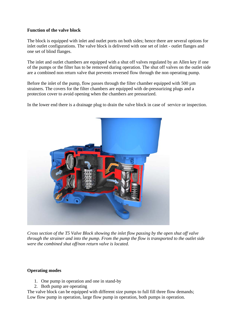#### **Function of the valve block**

The block is equipped with inlet and outlet ports on both sides; hence there are several options for inlet outlet configurations. The valve block is delivered with one set of inlet - outlet flanges and one set of blind flanges.

The inlet and outlet chambers are equipped with a shut off valves regulated by an Allen key if one of the pumps or the filter has to be removed during operation. The shut off valves on the outlet side are a combined non return valve that prevents reversed flow through the non operating pump.

Before the inlet of the pump, flow passes through the filter chamber equipped with 500  $\mu$ m strainers. The covers for the filter chambers are equipped with de-pressurizing plugs and a protection cover to avoid opening when the chambers are pressurized.

In the lower end there is a drainage plug to drain the valve block in case of service or inspection.



*Cross section of the T5 Valve Block showing the inlet flow passing by the open shut off valve through the strainer and into the pump. From the pump the flow is transported to the outlet side were the combined shut off/non return valve is located.* 

#### **Operating modes**

- 1. One pump in operation and one in stand-by
- 2. Both pump are operating

The valve block can be equipped with different size pumps to full fill three flow demands; Low flow pump in operation, large flow pump in operation, both pumps in operation.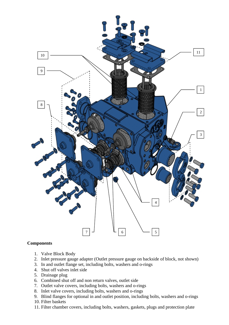

#### **Components**

- 1. Valve Block Body
- 2. Inlet pressure gauge adapter (Outlet pressure gauge on backside of block, not shown)
- 3. In and outlet flange set, including bolts, washers and o-rings
- 4. Shut off valves inlet side
- 5. Drainage plug
- 6. Combined shut off and non return valves, outlet side
- 7. Outlet valve covers, including bolts, washers and o-rings
- 8. Inlet valve covers, including bolts, washers and o-rings
- 9. Blind flanges for optional in and outlet position, including bolts, washers and o-rings 10. Filter baskets
- 11. Filter chamber covers, including bolts, washers, gaskets, plugs and protection plate